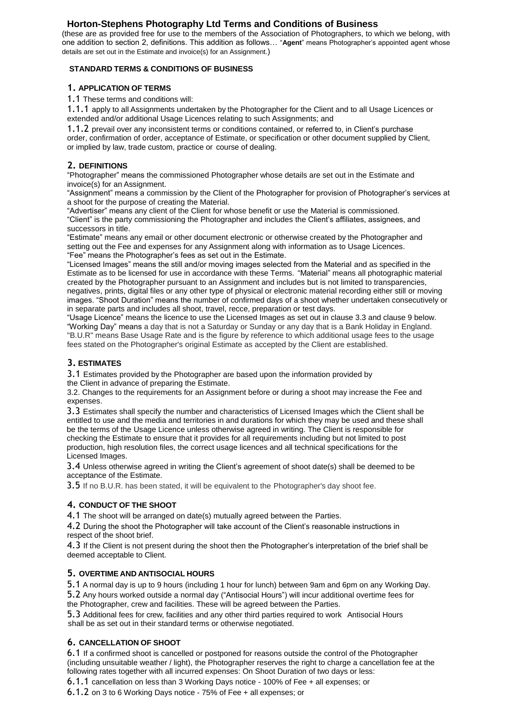# **Horton-Stephens Photography Ltd Terms and Conditions of Business**

(these are as provided free for use to the members of the Association of Photographers, to which we belong, with one addition to section 2, definitions. This addition as follows… "**Agent**" means Photographer's appointed agent whose details are set out in the Estimate and invoice(s) for an Assignment.)

## **STANDARD TERMS & CONDITIONS OF BUSINESS**

## **1. APPLICATION OF TERMS**

1.1 These terms and conditions will:

1.1.1 apply to all Assignments undertaken by the Photographer for the Client and to all Usage Licences or extended and/or additional Usage Licences relating to such Assignments; and

1.1.2 prevail over any inconsistent terms or conditions contained, or referred to, in Client's purchase order, confirmation of order, acceptance of Estimate, or specification or other document supplied by Client, or implied by law, trade custom, practice or course of dealing.

## **2. DEFINITIONS**

"Photographer" means the commissioned Photographer whose details are set out in the Estimate and invoice(s) for an Assignment.

"Assignment" means a commission by the Client of the Photographer for provision of Photographer's services at a shoot for the purpose of creating the Material.

"Advertiser" means any client of the Client for whose benefit or use the Material is commissioned. "Client" is the party commissioning the Photographer and includes the Client's affiliates, assignees, and successors in title.

"Estimate" means any email or other document electronic or otherwise created by the Photographer and setting out the Fee and expenses for any Assignment along with information as to Usage Licences. "Fee" means the Photographer's fees as set out in the Estimate.

"Licensed Images" means the still and/or moving images selected from the Material and as specified in the Estimate as to be licensed for use in accordance with these Terms. "Material" means all photographic material created by the Photographer pursuant to an Assignment and includes but is not limited to transparencies, negatives, prints, digital files or any other type of physical or electronic material recording either still or moving images. "Shoot Duration" means the number of confirmed days of a shoot whether undertaken consecutively or in separate parts and includes all shoot, travel, recce, preparation or test days.

"Usage Licence" means the licence to use the Licensed Images as set out in clause 3.3 and clause 9 below. "Working Day" means a day that is not a Saturday or Sunday or any day that is a Bank Holiday in England. "B.U.R" means Base Usage Rate and is the figure by reference to which additional usage fees to the usage fees stated on the Photographer's original Estimate as accepted by the Client are established.

# **3. ESTIMATES**

3.1 Estimates provided by the Photographer are based upon the information provided by

the Client in advance of preparing the Estimate.

3.2. Changes to the requirements for an Assignment before or during a shoot may increase the Fee and expenses.

3.3 Estimates shall specify the number and characteristics of Licensed Images which the Client shall be entitled to use and the media and territories in and durations for which they may be used and these shall be the terms of the Usage Licence unless otherwise agreed in writing. The Client is responsible for checking the Estimate to ensure that it provides for all requirements including but not limited to post production, high resolution files, the correct usage licences and all technical specifications for the Licensed Images.

3.4 Unless otherwise agreed in writing the Client's agreement of shoot date(s) shall be deemed to be acceptance of the Estimate.

3.5 If no B.U.R. has been stated, it will be equivalent to the Photographer's day shoot fee.

# **4. CONDUCT OF THE SHOOT**

4.1 The shoot will be arranged on date(s) mutually agreed between the Parties.

4.2 During the shoot the Photographer will take account of the Client's reasonable instructions in respect of the shoot brief.

4.3 If the Client is not present during the shoot then the Photographer's interpretation of the brief shall be deemed acceptable to Client.

## **5. OVERTIME AND ANTISOCIAL HOURS**

5.1 A normal day is up to 9 hours (including 1 hour for lunch) between 9am and 6pm on any Working Day.

5.2 Any hours worked outside a normal day ("Antisocial Hours") will incur additional overtime fees for the Photographer, crew and facilities. These will be agreed between the Parties.

5.3 Additional fees for crew, facilities and any other third parties required to work Antisocial Hours shall be as set out in their standard terms or otherwise negotiated.

# **6. CANCELLATION OF SHOOT**

6.1 If a confirmed shoot is cancelled or postponed for reasons outside the control of the Photographer (including unsuitable weather / light), the Photographer reserves the right to charge a cancellation fee at the following rates together with all incurred expenses: On Shoot Duration of two days or less:

6.1.1 cancellation on less than 3 Working Days notice - 100% of Fee + all expenses; or

6.1.2 on 3 to 6 Working Days notice - 75% of Fee + all expenses; or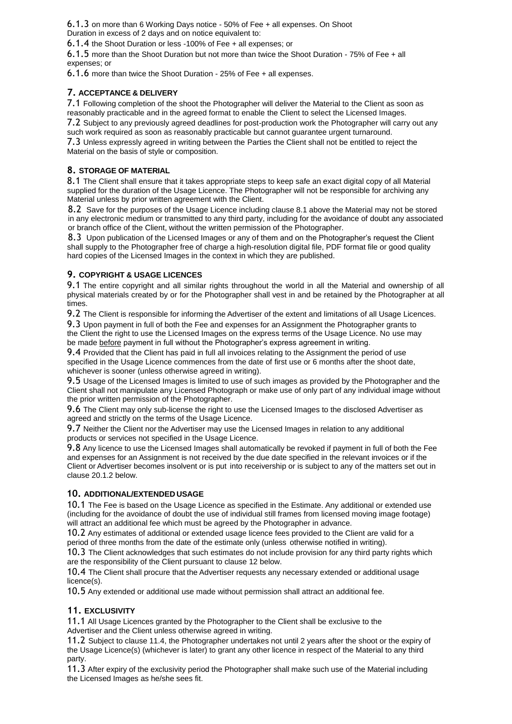6.1.3 on more than 6 Working Days notice - 50% of Fee + all expenses. On Shoot Duration in excess of 2 days and on notice equivalent to:

6.1.4 the Shoot Duration or less -100% of Fee + all expenses; or

6.1.5 more than the Shoot Duration but not more than twice the Shoot Duration - 75% of Fee + all expenses; or

6.1.6 more than twice the Shoot Duration - 25% of Fee + all expenses.

### **7. ACCEPTANCE & DELIVERY**

7.1 Following completion of the shoot the Photographer will deliver the Material to the Client as soon as reasonably practicable and in the agreed format to enable the Client to select the Licensed Images.

7.2 Subject to any previously agreed deadlines for post-production work the Photographer will carry out any such work required as soon as reasonably practicable but cannot guarantee urgent turnaround.

7.3 Unless expressly agreed in writing between the Parties the Client shall not be entitled to reject the Material on the basis of style or composition.

#### **8. STORAGE OF MATERIAL**

8.1 The Client shall ensure that it takes appropriate steps to keep safe an exact digital copy of all Material supplied for the duration of the Usage Licence. The Photographer will not be responsible for archiving any Material unless by prior written agreement with the Client.

8.2 Save for the purposes of the Usage Licence including clause 8.1 above the Material may not be stored in any electronic medium or transmitted to any third party, including for the avoidance of doubt any associated or branch office of the Client, without the written permission of the Photographer.

8.3 Upon publication of the Licensed Images or any of them and on the Photographer's request the Client shall supply to the Photographer free of charge a high-resolution digital file, PDF format file or good quality hard copies of the Licensed Images in the context in which they are published.

## **9. COPYRIGHT & USAGE LICENCES**

9.1 The entire copyright and all similar rights throughout the world in all the Material and ownership of all physical materials created by or for the Photographer shall vest in and be retained by the Photographer at all times.

9.2 The Client is responsible for informing the Advertiser of the extent and limitations of all Usage Licences.

9.3 Upon payment in full of both the Fee and expenses for an Assignment the Photographer grants to the Client the right to use the Licensed Images on the express terms of the Usage Licence. No use may be made before payment in full without the Photographer's express agreement in writing.

9.4 Provided that the Client has paid in full all invoices relating to the Assignment the period of use specified in the Usage Licence commences from the date of first use or 6 months after the shoot date, whichever is sooner (unless otherwise agreed in writing).

9.5 Usage of the Licensed Images is limited to use of such images as provided by the Photographer and the Client shall not manipulate any Licensed Photograph or make use of only part of any individual image without the prior written permission of the Photographer.

9.6 The Client may only sub-license the right to use the Licensed Images to the disclosed Advertiser as agreed and strictly on the terms of the Usage Licence.

9.7 Neither the Client nor the Advertiser may use the Licensed Images in relation to any additional products or services not specified in the Usage Licence.

9.8 Any licence to use the Licensed Images shall automatically be revoked if payment in full of both the Fee and expenses for an Assignment is not received by the due date specified in the relevant invoices or if the Client or Advertiser becomes insolvent or is put into receivership or is subject to any of the matters set out in clause 20.1.2 below.

#### **10. ADDITIONAL/EXTENDED USAGE**

10.1 The Fee is based on the Usage Licence as specified in the Estimate. Any additional or extended use (including for the avoidance of doubt the use of individual still frames from licensed moving image footage) will attract an additional fee which must be agreed by the Photographer in advance.

10.2 Any estimates of additional or extended usage licence fees provided to the Client are valid for a period of three months from the date of the estimate only (unless otherwise notified in writing).

10.3 The Client acknowledges that such estimates do not include provision for any third party rights which are the responsibility of the Client pursuant to clause 12 below.

10.4 The Client shall procure that the Advertiser requests any necessary extended or additional usage licence(s).

10.5 Any extended or additional use made without permission shall attract an additional fee.

## **11. EXCLUSIVITY**

11.1 All Usage Licences granted by the Photographer to the Client shall be exclusive to the Advertiser and the Client unless otherwise agreed in writing.

11.2 Subject to clause 11.4, the Photographer undertakes not until 2 years after the shoot or the expiry of the Usage Licence(s) (whichever is later) to grant any other licence in respect of the Material to any third party.

11.3 After expiry of the exclusivity period the Photographer shall make such use of the Material including the Licensed Images as he/she sees fit.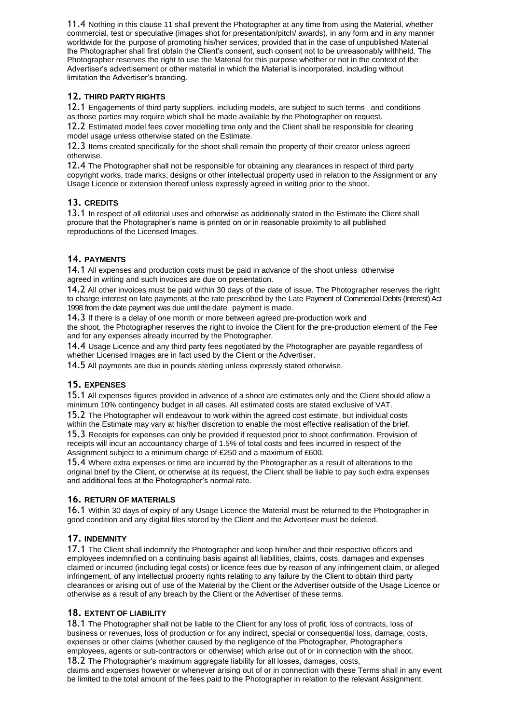11.4 Nothing in this clause 11 shall prevent the Photographer at any time from using the Material, whether commercial, test or speculative (images shot for presentation/pitch/ awards), in any form and in any manner worldwide for the purpose of promoting his/her services, provided that in the case of unpublished Material the Photographer shall first obtain the Client's consent, such consent not to be unreasonably withheld. The Photographer reserves the right to use the Material for this purpose whether or not in the context of the Advertiser's advertisement or other material in which the Material is incorporated, including without limitation the Advertiser's branding.

## **12. THIRD PARTY RIGHTS**

12.1 Engagements of third party suppliers, including models, are subject to such terms and conditions as those parties may require which shall be made available by the Photographer on request.

12.2 Estimated model fees cover modelling time only and the Client shall be responsible for clearing model usage unless otherwise stated on the Estimate.

12.3 Items created specifically for the shoot shall remain the property of their creator unless agreed otherwise.

12.4 The Photographer shall not be responsible for obtaining any clearances in respect of third party copyright works, trade marks, designs or other intellectual property used in relation to the Assignment or any Usage Licence or extension thereof unless expressly agreed in writing prior to the shoot.

## **13. CREDITS**

13.1 In respect of all editorial uses and otherwise as additionally stated in the Estimate the Client shall procure that the Photographer's name is printed on or in reasonable proximity to all published reproductions of the Licensed Images.

## **14. PAYMENTS**

14.1 All expenses and production costs must be paid in advance of the shoot unless otherwise agreed in writing and such invoices are due on presentation.

14.2 All other invoices must be paid within 30 days of the date of issue. The Photographer reserves the right to charge interest on late payments at the rate prescribed by the Late Payment of Commercial Debts (Interest) Act 1998 from the date payment was due until the date payment is made.

14.3 If there is a delay of one month or more between agreed pre-production work and the shoot, the Photographer reserves the right to invoice the Client for the pre-production element of the Fee and for any expenses already incurred by the Photographer.

14.4 Usage Licence and any third party fees negotiated by the Photographer are payable regardless of whether Licensed Images are in fact used by the Client or the Advertiser.

14.5 All payments are due in pounds sterling unless expressly stated otherwise.

## **15. EXPENSES**

15.1 All expenses figures provided in advance of a shoot are estimates only and the Client should allow a minimum 10% contingency budget in all cases. All estimated costs are stated exclusive of VAT.

15.2 The Photographer will endeavour to work within the agreed cost estimate, but individual costs

within the Estimate may vary at his/her discretion to enable the most effective realisation of the brief. 15.3 Receipts for expenses can only be provided if requested prior to shoot confirmation. Provision of receipts will incur an accountancy charge of 1.5% of total costs and fees incurred in respect of the Assignment subject to a minimum charge of £250 and a maximum of £600.

15.4 Where extra expenses or time are incurred by the Photographer as a result of alterations to the original brief by the Client, or otherwise at its request, the Client shall be liable to pay such extra expenses and additional fees at the Photographer's normal rate.

## **16. RETURN OF MATERIALS**

16.1 Within 30 days of expiry of any Usage Licence the Material must be returned to the Photographer in good condition and any digital files stored by the Client and the Advertiser must be deleted.

## **17. INDEMNITY**

17.1 The Client shall indemnify the Photographer and keep him/her and their respective officers and employees indemnified on a continuing basis against all liabilities, claims, costs, damages and expenses claimed or incurred (including legal costs) or licence fees due by reason of any infringement claim, or alleged infringement, of any intellectual property rights relating to any failure by the Client to obtain third party clearances or arising out of use of the Material by the Client or the Advertiser outside of the Usage Licence or otherwise as a result of any breach by the Client or the Advertiser of these terms.

## **18. EXTENT OF LIABILITY**

18.1 The Photographer shall not be liable to the Client for any loss of profit, loss of contracts, loss of business or revenues, loss of production or for any indirect, special or consequential loss, damage, costs, expenses or other claims (whether caused by the negligence of the Photographer, Photographer's employees, agents or sub-contractors or otherwise) which arise out of or in connection with the shoot.

18.2 The Photographer's maximum aggregate liability for all losses, damages, costs, claims and expenses however or whenever arising out of or in connection with these Terms shall in any event

be limited to the total amount of the fees paid to the Photographer in relation to the relevant Assignment.